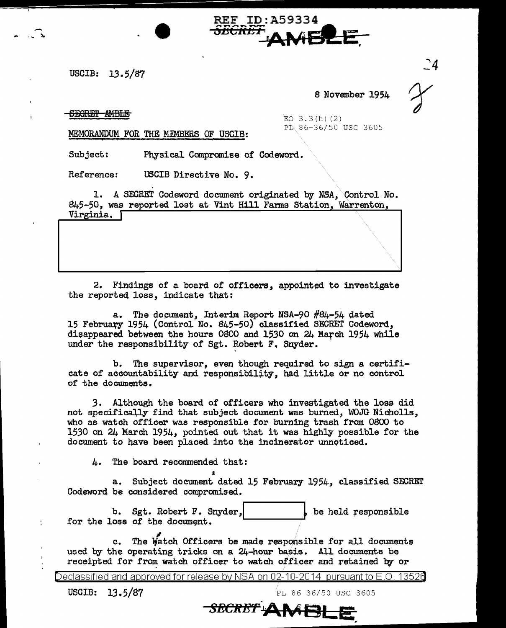USCIB: 13.5/87

,,. .... <sup>~</sup>

8 November 1954

 $\mathbb{C}4$ 

## **SECRET AMBLE**

 $EQ$  3.3(h)(2)<br> $P_E = 86 - 36/50$  USC 3605

MEMORANDUM FOR THE MEMBERS OF USCIB:

Subject: Physical Compromise of Codeword.

Reference: USCIB Directive No. 9.

1. A SECRET Codeword document originated by NSA, Control No. 845-50, was reported lost at Vint Hill Farms Station, Warrenton, Virginia. <sup>[</sup>

REF ID:A59334

SECRET **AMBLE** 

2. Findings of a board of officers, appointed to investigate the reported loss, indicate that:

a. The document, Interim Report NSA-90 #84-54 dated 15 February 1954 (Control No. 845-50) classified SECRET Codeword, disappeared between the hours 0800 and 1530 on 24 March 1954 while under the responsibility of Sgt. Robert F. Snyder.

b. The supervisor, even though required to sign a certificate of accountability and responsibility, had little or no control of the documents.

3. Although the board of officers who investigated the loss did not specifically find that subject document was burned, WOJG Nicholls, who as watch officer was responsible for burning trash from 0800 to 1530 on 24 March 1954, pointed out that it was highly possible for the document to have been placed into the incinerator unnoticed.

4. The board recommended that:

a. Subject document dated 15 February 1954, classified SECREr Codeword be considered compromised.

b. Sgt. Robert F. Snyder,  $\begin{bmatrix} b & b \end{bmatrix}$  be held responsible for the loss of the document.

c. The Watch Officers be made responsible for all documents used by the operating tricks on a 24-hour basis, All documents be receipted for from watch officer to watch officer and retained by or

Declassified and approved for release by NSA on 02-10-2014 pursuant to E.O. 1352a

USCIB: 13.5/87 PL 86-36/50 USC 3605